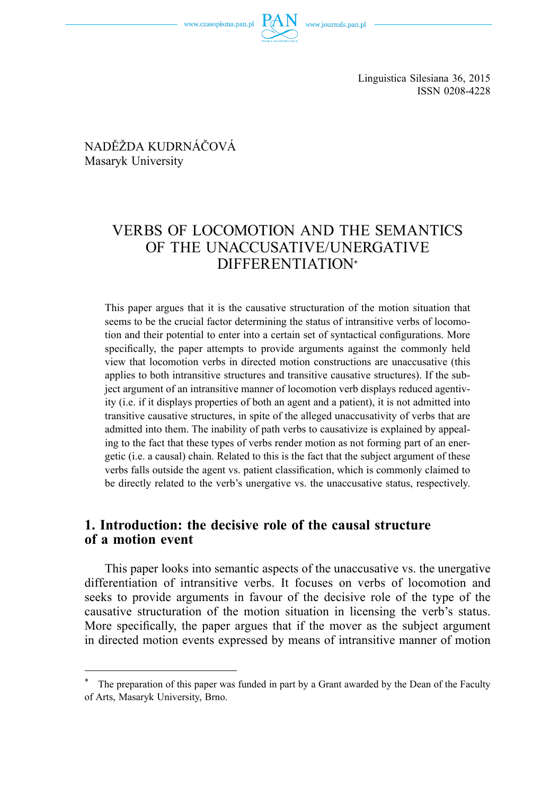Linguistica Silesiana 36, 2015 ISSN 0208-4228

NADĚŽDA KUDRNÁČOVÁ Masaryk University

# VERBS OF LOCOMOTION AND THE SEMANTICS OF THE UNACCUSATIVE/UNERGATIVE DIFFERENTIATION\*

This paper argues that it is the causative structuration of the motion situation that seems to be the crucial factor determining the status of intransitive verbs of locomotion and their potential to enter into a certain set of syntactical configurations. More specifically, the paper attempts to provide arguments against the commonly held view that locomotion verbs in directed motion constructions are unaccusative (this applies to both intransitive structures and transitive causative structures). If the subject argument of an intransitive manner of locomotion verb displays reduced agentivity (i.e. if it displays properties of both an agent and a patient), it is not admitted into transitive causative structures, in spite of the alleged unaccusativity of verbs that are admitted into them. The inability of path verbs to causativize is explained by appealing to the fact that these types of verbs render motion as not forming part of an energetic (i.e. a causal) chain. Related to this is the fact that the subject argument of these verbs falls outside the agent vs. patient classification, which is commonly claimed to be directly related to the verb's unergative vs. the unaccusative status, respectively.

## **1. Introduction: the decisive role of the causal structure of a motion event**

This paper looks into semantic aspects of the unaccusative vs. the unergative differentiation of intransitive verbs. It focuses on verbs of locomotion and seeks to provide arguments in favour of the decisive role of the type of the causative structuration of the motion situation in licensing the verb's status. More specifically, the paper argues that if the mover as the subject argument in directed motion events expressed by means of intransitive manner of motion

The preparation of this paper was funded in part by a Grant awarded by the Dean of the Faculty of Arts, Masaryk University, Brno.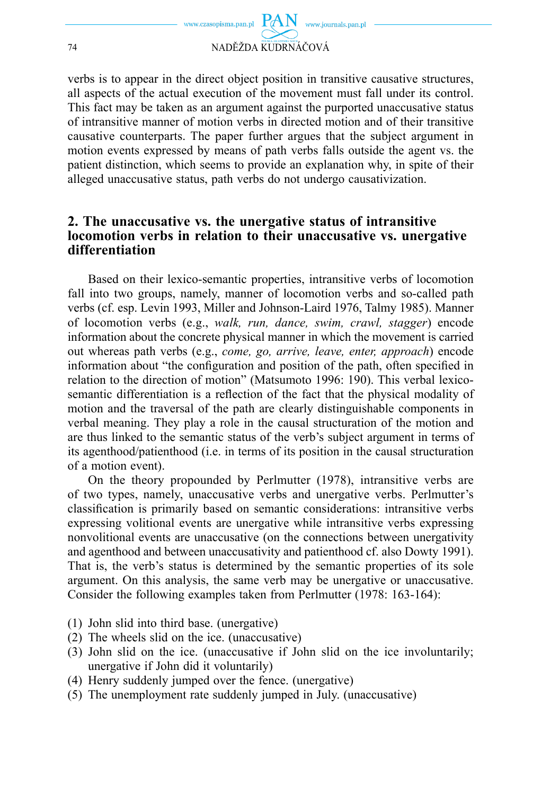

verbs is to appear in the direct object position in transitive causative structures, all aspects of the actual execution of the movement must fall under its control. This fact may be taken as an argument against the purported unaccusative status of intransitive manner of motion verbs in directed motion and of their transitive causative counterparts. The paper further argues that the subject argument in motion events expressed by means of path verbs falls outside the agent vs. the patient distinction, which seems to provide an explanation why, in spite of their alleged unaccusative status, path verbs do not undergo causativization.

### **2. The unaccusative vs. the unergative status of intransitive locomotion verbs in relation to their unaccusative vs. unergative differentiation**

Based on their lexico-semantic properties, intransitive verbs of locomotion fall into two groups, namely, manner of locomotion verbs and so-called path verbs (cf. esp. Levin 1993, Miller and Johnson-Laird 1976, Talmy 1985). Manner of locomotion verbs (e.g., *walk, run, dance, swim, crawl, stagger*) encode information about the concrete physical manner in which the movement is carried out whereas path verbs (e.g., *come, go, arrive, leave, enter, approach*) encode information about "the configuration and position of the path, often specified in relation to the direction of motion" (Matsumoto 1996: 190). This verbal lexicosemantic differentiation is a reflection of the fact that the physical modality of motion and the traversal of the path are clearly distinguishable components in verbal meaning. They play a role in the causal structuration of the motion and are thus linked to the semantic status of the verb's subject argument in terms of its agenthood/patienthood (i.e. in terms of its position in the causal structuration of a motion event).

On the theory propounded by Perlmutter (1978), intransitive verbs are of two types, namely, unaccusative verbs and unergative verbs. Perlmutter's classification is primarily based on semantic considerations: intransitive verbs expressing volitional events are unergative while intransitive verbs expressing nonvolitional events are unaccusative (on the connections between unergativity and agenthood and between unaccusativity and patienthood cf. also Dowty 1991). That is, the verb's status is determined by the semantic properties of its sole argument. On this analysis, the same verb may be unergative or unaccusative. Consider the following examples taken from Perlmutter (1978: 163-164):

- (1) John slid into third base. (unergative)
- (2) The wheels slid on the ice. (unaccusative)
- (3) John slid on the ice. (unaccusative if John slid on the ice involuntarily; unergative if John did it voluntarily)
- (4) Henry suddenly jumped over the fence. (unergative)
- (5) The unemployment rate suddenly jumped in July. (unaccusative)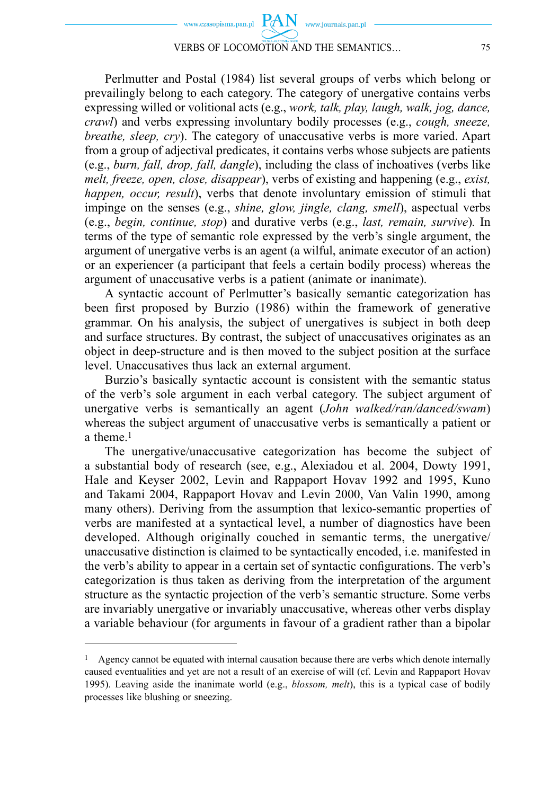#### VERBS OF LOCOMOTION AND THE SEMANTICS… 75

Perlmutter and Postal (1984) list several groups of verbs which belong or prevailingly belong to each category. The category of unergative contains verbs expressing willed or volitional acts (e.g., *work, talk, play, laugh, walk, jog, dance, crawl*) and verbs expressing involuntary bodily processes (e.g., *cough, sneeze, breathe, sleep, cry*). The category of unaccusative verbs is more varied. Apart from a group of adjectival predicates, it contains verbs whose subjects are patients (e.g., *burn, fall, drop, fall, dangle*), including the class of inchoatives (verbs like *melt, freeze, open, close, disappear*), verbs of existing and happening (e.g., *exist, happen, occur, result*), verbs that denote involuntary emission of stimuli that impinge on the senses (e.g., *shine, glow, jingle, clang, smell*), aspectual verbs (e.g., *begin, continue, stop*) and durative verbs (e.g., *last, remain, survive*)*.* In terms of the type of semantic role expressed by the verb's single argument, the argument of unergative verbs is an agent (a wilful, animate executor of an action) or an experiencer (a participant that feels a certain bodily process) whereas the argument of unaccusative verbs is a patient (animate or inanimate).

A syntactic account of Perlmutter's basically semantic categorization has been first proposed by Burzio (1986) within the framework of generative grammar. On his analysis, the subject of unergatives is subject in both deep and surface structures. By contrast, the subject of unaccusatives originates as an object in deep-structure and is then moved to the subject position at the surface level. Unaccusatives thus lack an external argument.

Burzio's basically syntactic account is consistent with the semantic status of the verb's sole argument in each verbal category. The subject argument of unergative verbs is semantically an agent (*John walked/ran/danced/swam*) whereas the subject argument of unaccusative verbs is semantically a patient or a theme.1

The unergative/unaccusative categorization has become the subject of a substantial body of research (see, e.g., Alexiadou et al. 2004, Dowty 1991, Hale and Keyser 2002, Levin and Rappaport Hovav 1992 and 1995, Kuno and Takami 2004, Rappaport Hovav and Levin 2000, Van Valin 1990, among many others). Deriving from the assumption that lexico-semantic properties of verbs are manifested at a syntactical level, a number of diagnostics have been developed. Although originally couched in semantic terms, the unergative/ unaccusative distinction is claimed to be syntactically encoded, i.e. manifested in the verb's ability to appear in a certain set of syntactic configurations. The verb's categorization is thus taken as deriving from the interpretation of the argument structure as the syntactic projection of the verb's semantic structure. Some verbs are invariably unergative or invariably unaccusative, whereas other verbs display a variable behaviour (for arguments in favour of a gradient rather than a bipolar

<sup>&</sup>lt;sup>1</sup> Agency cannot be equated with internal causation because there are verbs which denote internally caused eventualities and yet are not a result of an exercise of will (cf. Levin and Rappaport Hovav 1995). Leaving aside the inanimate world (e.g., *blossom, melt*), this is a typical case of bodily processes like blushing or sneezing.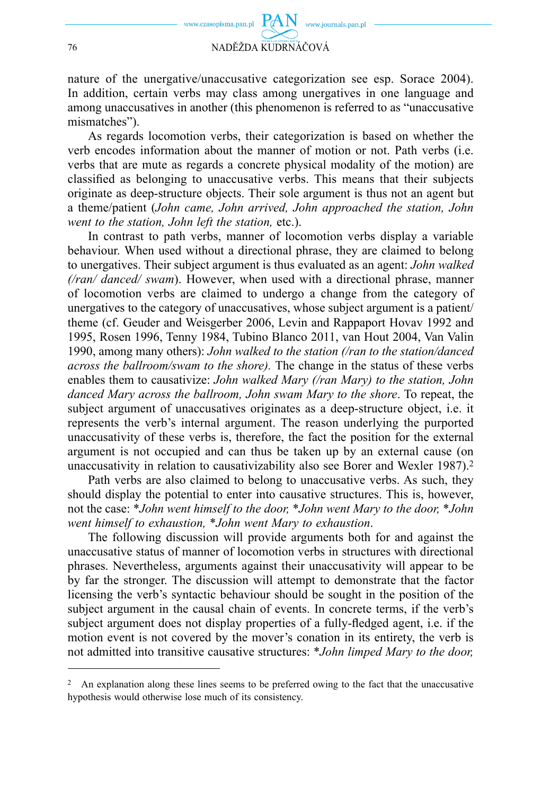

nature of the unergative/unaccusative categorization see esp. Sorace 2004). In addition, certain verbs may class among unergatives in one language and among unaccusatives in another (this phenomenon is referred to as "unaccusative mismatches").

As regards locomotion verbs, their categorization is based on whether the verb encodes information about the manner of motion or not. Path verbs (i.e. verbs that are mute as regards a concrete physical modality of the motion) are classified as belonging to unaccusative verbs. This means that their subjects originate as deep-structure objects. Their sole argument is thus not an agent but a theme/patient (*John came, John arrived, John approached the station, John went to the station, John left the station,* etc.).

In contrast to path verbs, manner of locomotion verbs display a variable behaviour. When used without a directional phrase, they are claimed to belong to unergatives. Their subject argument is thus evaluated as an agent: *John walked (/ran/ danced/ swam*). However, when used with a directional phrase, manner of locomotion verbs are claimed to undergo a change from the category of unergatives to the category of unaccusatives, whose subject argument is a patient/ theme (cf. Geuder and Weisgerber 2006, Levin and Rappaport Hovav 1992 and 1995, Rosen 1996, Tenny 1984, Tubino Blanco 2011, van Hout 2004, Van Valin 1990, among many others): *John walked to the station (/ran to the station/danced across the ballroom/swam to the shore).* The change in the status of these verbs enables them to causativize: *John walked Mary (/ran Mary) to the station, John danced Mary across the ballroom, John swam Mary to the shore*. To repeat, the subject argument of unaccusatives originates as a deep-structure object, i.e. it represents the verb's internal argument. The reason underlying the purported unaccusativity of these verbs is, therefore, the fact the position for the external argument is not occupied and can thus be taken up by an external cause (on unaccusativity in relation to causativizability also see Borer and Wexler 1987).2

Path verbs are also claimed to belong to unaccusative verbs. As such, they should display the potential to enter into causative structures. This is, however, not the case: \**John went himself to the door,* \**John went Mary to the door,* \**John went himself to exhaustion,* \**John went Mary to exhaustion*.

The following discussion will provide arguments both for and against the unaccusative status of manner of locomotion verbs in structures with directional phrases. Nevertheless, arguments against their unaccusativity will appear to be by far the stronger. The discussion will attempt to demonstrate that the factor licensing the verb's syntactic behaviour should be sought in the position of the subject argument in the causal chain of events. In concrete terms, if the verb's subject argument does not display properties of a fully-fledged agent, i.e. if the motion event is not covered by the mover's conation in its entirety, the verb is not admitted into transitive causative structures: \**John limped Mary to the door,* 

<sup>&</sup>lt;sup>2</sup> An explanation along these lines seems to be preferred owing to the fact that the unaccusative hypothesis would otherwise lose much of its consistency.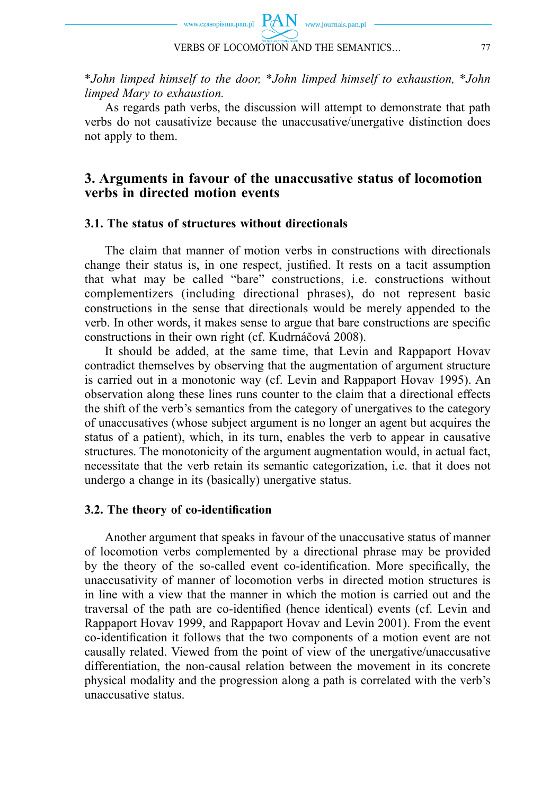

\**John limped himself to the door,* \**John limped himself to exhaustion,* \**John limped Mary to exhaustion.* 

As regards path verbs, the discussion will attempt to demonstrate that path verbs do not causativize because the unaccusative/unergative distinction does not apply to them.

### **3. Arguments in favour of the unaccusative status of locomotion verbs in directed motion events**

#### **3.1. The status of structures without directionals**

The claim that manner of motion verbs in constructions with directionals change their status is, in one respect, justified. It rests on a tacit assumption that what may be called "bare" constructions, i.e. constructions without complementizers (including directional phrases), do not represent basic constructions in the sense that directionals would be merely appended to the verb. In other words, it makes sense to argue that bare constructions are specific constructions in their own right (cf. Kudrnáčová 2008).

It should be added, at the same time, that Levin and Rappaport Hovav contradict themselves by observing that the augmentation of argument structure is carried out in a monotonic way (cf. Levin and Rappaport Hovav 1995). An observation along these lines runs counter to the claim that a directional effects the shift of the verb's semantics from the category of unergatives to the category of unaccusatives (whose subject argument is no longer an agent but acquires the status of a patient), which, in its turn, enables the verb to appear in causative structures. The monotonicity of the argument augmentation would, in actual fact, necessitate that the verb retain its semantic categorization, i.e. that it does not undergo a change in its (basically) unergative status.

### **3.2. The theory of co-identifi cation**

Another argument that speaks in favour of the unaccusative status of manner of locomotion verbs complemented by a directional phrase may be provided by the theory of the so-called event co-identification. More specifically, the unaccusativity of manner of locomotion verbs in directed motion structures is in line with a view that the manner in which the motion is carried out and the traversal of the path are co-identified (hence identical) events (cf. Levin and Rappaport Hovav 1999, and Rappaport Hovav and Levin 2001). From the event co-identification it follows that the two components of a motion event are not causally related. Viewed from the point of view of the unergative/unaccusative differentiation, the non-causal relation between the movement in its concrete physical modality and the progression along a path is correlated with the verb's unaccusative status.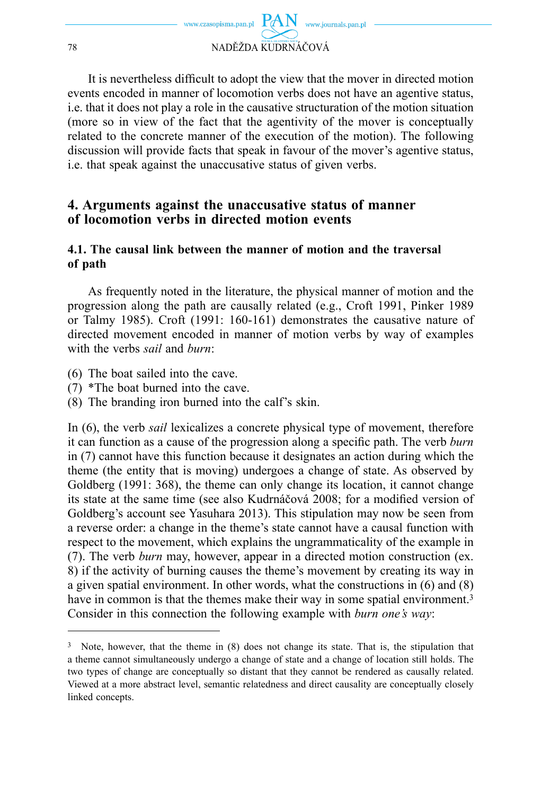

It is nevertheless difficult to adopt the view that the mover in directed motion events encoded in manner of locomotion verbs does not have an agentive status, i.e. that it does not play a role in the causative structuration of the motion situation (more so in view of the fact that the agentivity of the mover is conceptually related to the concrete manner of the execution of the motion). The following discussion will provide facts that speak in favour of the mover's agentive status, i.e. that speak against the unaccusative status of given verbs.

### **4. Arguments against the unaccusative status of manner of locomotion verbs in directed motion events**

### **4.1. The causal link between the manner of motion and the traversal of path**

As frequently noted in the literature, the physical manner of motion and the progression along the path are causally related (e.g., Croft 1991, Pinker 1989 or Talmy 1985). Croft (1991: 160-161) demonstrates the causative nature of directed movement encoded in manner of motion verbs by way of examples with the verbs *sail* and *burn*:

- (6) The boat sailed into the cave.
- (7) \*The boat burned into the cave.
- (8) The branding iron burned into the calf's skin.

In (6), the verb *sail* lexicalizes a concrete physical type of movement, therefore it can function as a cause of the progression along a specific path. The verb *burn* in (7) cannot have this function because it designates an action during which the theme (the entity that is moving) undergoes a change of state. As observed by Goldberg (1991: 368), the theme can only change its location, it cannot change its state at the same time (see also Kudrnáčová 2008; for a modified version of Goldberg's account see Yasuhara 2013). This stipulation may now be seen from a reverse order: a change in the theme's state cannot have a causal function with respect to the movement, which explains the ungrammaticality of the example in (7). The verb *burn* may, however, appear in a directed motion construction (ex. 8) if the activity of burning causes the theme's movement by creating its way in a given spatial environment. In other words, what the constructions in (6) and (8) have in common is that the themes make their way in some spatial environment.<sup>3</sup> Consider in this connection the following example with *burn one's way*:

<sup>3</sup> Note, however, that the theme in (8) does not change its state. That is, the stipulation that a theme cannot simultaneously undergo a change of state and a change of location still holds. The two types of change are conceptually so distant that they cannot be rendered as causally related. Viewed at a more abstract level, semantic relatedness and direct causality are conceptually closely linked concepts.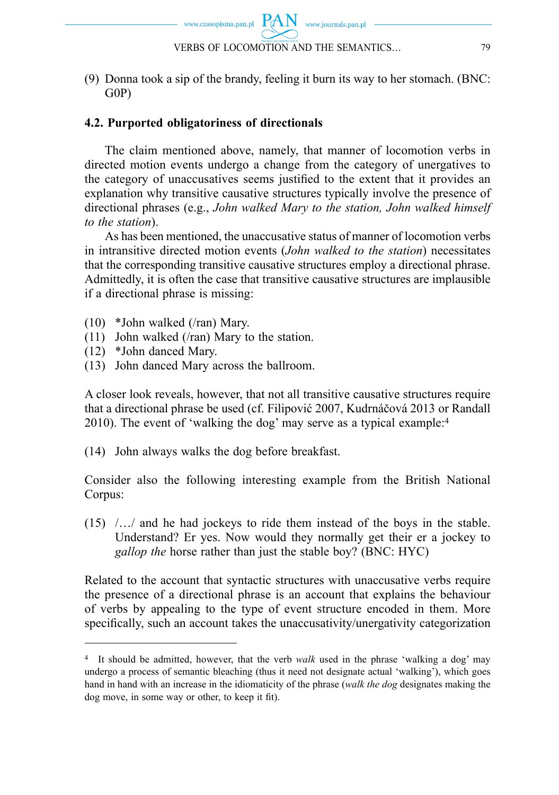(9) Donna took a sip of the brandy, feeling it burn its way to her stomach. (BNC: G0P)

## **4.2. Purported obligatoriness of directionals**

The claim mentioned above, namely, that manner of locomotion verbs in directed motion events undergo a change from the category of unergatives to the category of unaccusatives seems justified to the extent that it provides an explanation why transitive causative structures typically involve the presence of directional phrases (e.g., *John walked Mary to the station, John walked himself to the station*).

As has been mentioned, the unaccusative status of manner of locomotion verbs in intransitive directed motion events (*John walked to the station*) necessitates that the corresponding transitive causative structures employ a directional phrase. Admittedly, it is often the case that transitive causative structures are implausible if a directional phrase is missing:

- (10) \*John walked (/ran) Mary.
- (11) John walked (/ran) Mary to the station.
- (12) \*John danced Mary.
- (13) John danced Mary across the ballroom.

A closer look reveals, however, that not all transitive causative structures require that a directional phrase be used (cf. Filipović 2007, Kudrnáčová 2013 or Randall 2010). The event of 'walking the dog' may serve as a typical example:4

(14) John always walks the dog before breakfast.

Consider also the following interesting example from the British National Corpus:

(15) /…/ and he had jockeys to ride them instead of the boys in the stable. Understand? Er yes. Now would they normally get their er a jockey to *gallop the* horse rather than just the stable boy? (BNC: HYC)

Related to the account that syntactic structures with unaccusative verbs require the presence of a directional phrase is an account that explains the behaviour of verbs by appealing to the type of event structure encoded in them. More specifically, such an account takes the unaccusativity/unergativity categorization

<sup>4</sup> It should be admitted, however, that the verb *walk* used in the phrase 'walking a dog' may undergo a process of semantic bleaching (thus it need not designate actual 'walking'), which goes hand in hand with an increase in the idiomaticity of the phrase (*walk the dog* designates making the dog move, in some way or other, to keep it fit).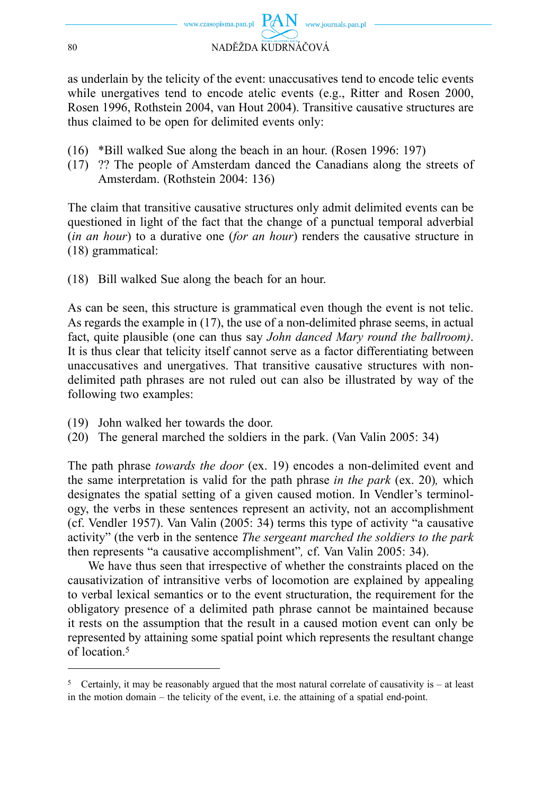

as underlain by the telicity of the event: unaccusatives tend to encode telic events while unergatives tend to encode atelic events (e.g., Ritter and Rosen 2000, Rosen 1996, Rothstein 2004, van Hout 2004). Transitive causative structures are thus claimed to be open for delimited events only:

- (16) \*Bill walked Sue along the beach in an hour. (Rosen 1996: 197)
- (17) ?? The people of Amsterdam danced the Canadians along the streets of Amsterdam. (Rothstein 2004: 136)

The claim that transitive causative structures only admit delimited events can be questioned in light of the fact that the change of a punctual temporal adverbial (*in an hour*) to a durative one (*for an hour*) renders the causative structure in (18) grammatical:

(18) Bill walked Sue along the beach for an hour.

As can be seen, this structure is grammatical even though the event is not telic. As regards the example in (17), the use of a non-delimited phrase seems, in actual fact, quite plausible (one can thus say *John danced Mary round the ballroom)*. It is thus clear that telicity itself cannot serve as a factor differentiating between unaccusatives and unergatives. That transitive causative structures with nondelimited path phrases are not ruled out can also be illustrated by way of the following two examples:

- (19) John walked her towards the door.
- (20) The general marched the soldiers in the park. (Van Valin 2005: 34)

The path phrase *towards the door* (ex. 19) encodes a non-delimited event and the same interpretation is valid for the path phrase *in the park* (ex. 20)*,* which designates the spatial setting of a given caused motion. In Vendler's terminology, the verbs in these sentences represent an activity, not an accomplishment (cf. Vendler 1957). Van Valin (2005: 34) terms this type of activity "a causative activity" (the verb in the sentence *The sergeant marched the soldiers to the park* then represents "a causative accomplishment"*,* cf. Van Valin 2005: 34).

We have thus seen that irrespective of whether the constraints placed on the causativization of intransitive verbs of locomotion are explained by appealing to verbal lexical semantics or to the event structuration, the requirement for the obligatory presence of a delimited path phrase cannot be maintained because it rests on the assumption that the result in a caused motion event can only be represented by attaining some spatial point which represents the resultant change of location.5

<sup>5</sup> Certainly, it may be reasonably argued that the most natural correlate of causativity is – at least in the motion domain – the telicity of the event, i.e. the attaining of a spatial end-point.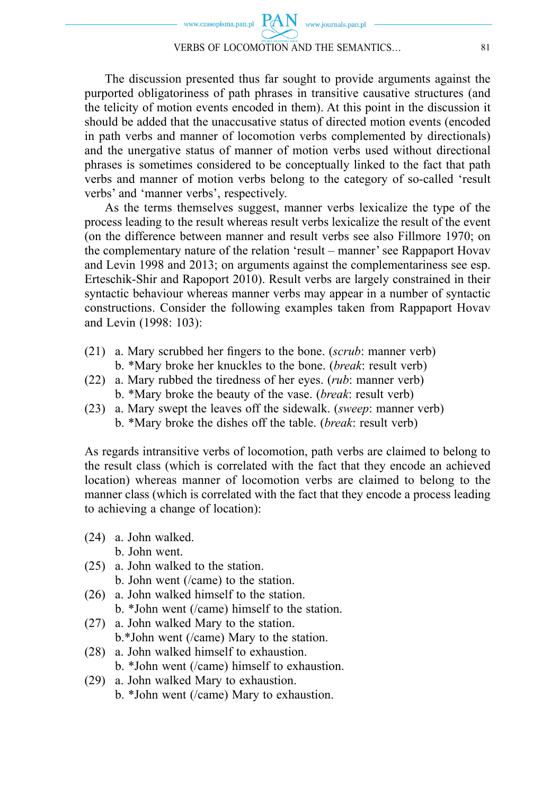The discussion presented thus far sought to provide arguments against the purported obligatoriness of path phrases in transitive causative structures (and the telicity of motion events encoded in them). At this point in the discussion it should be added that the unaccusative status of directed motion events (encoded in path verbs and manner of locomotion verbs complemented by directionals) and the unergative status of manner of motion verbs used without directional phrases is sometimes considered to be conceptually linked to the fact that path verbs and manner of motion verbs belong to the category of so-called 'result verbs' and 'manner verbs', respectively.

As the terms themselves suggest, manner verbs lexicalize the type of the process leading to the result whereas result verbs lexicalize the result of the event (on the difference between manner and result verbs see also Fillmore 1970; on the complementary nature of the relation 'result – manner' see Rappaport Hovav and Levin 1998 and 2013; on arguments against the complementariness see esp. Erteschik-Shir and Rapoport 2010). Result verbs are largely constrained in their syntactic behaviour whereas manner verbs may appear in a number of syntactic constructions. Consider the following examples taken from Rappaport Hovav and Levin (1998: 103):

- (21) a. Mary scrubbed her fingers to the bone. (*scrub*: manner verb) b. \*Mary broke her knuckles to the bone. (*break*: result verb)
- (22) a. Mary rubbed the tiredness of her eyes. (*rub*: manner verb) b. \*Mary broke the beauty of the vase. (*break*: result verb)
- (23) a. Mary swept the leaves off the sidewalk. (*sweep*: manner verb) b. \*Mary broke the dishes off the table. (*break*: result verb)

As regards intransitive verbs of locomotion, path verbs are claimed to belong to the result class (which is correlated with the fact that they encode an achieved location) whereas manner of locomotion verbs are claimed to belong to the manner class (which is correlated with the fact that they encode a process leading to achieving a change of location):

- (24) a. John walked.
	- b. John went.
- (25) a. John walked to the station.
	- b. John went (/came) to the station.
- (26) a. John walked himself to the station. b. \*John went (/came) himself to the station.
- (27) a. John walked Mary to the station. b.\*John went (/came) Mary to the station.
- (28) a. John walked himself to exhaustion. b. \*John went (/came) himself to exhaustion.
- (29) a. John walked Mary to exhaustion.
	- b. \*John went (/came) Mary to exhaustion.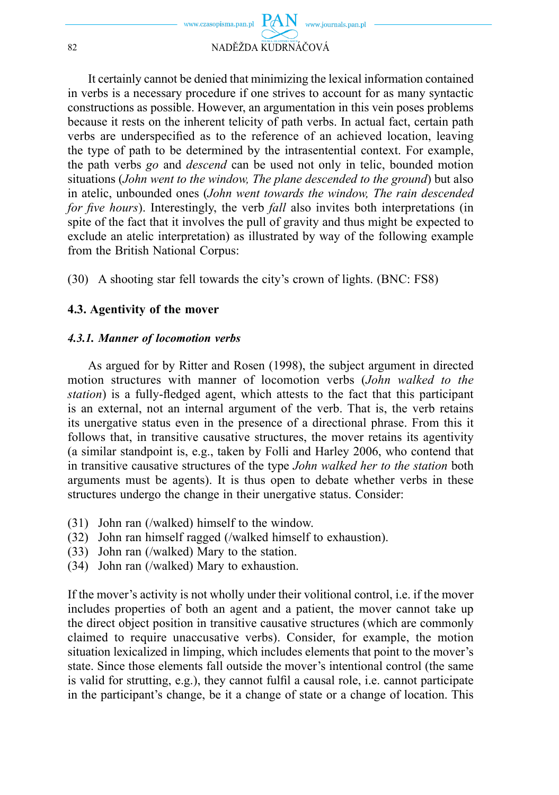

It certainly cannot be denied that minimizing the lexical information contained in verbs is a necessary procedure if one strives to account for as many syntactic constructions as possible. However, an argumentation in this vein poses problems because it rests on the inherent telicity of path verbs. In actual fact, certain path verbs are underspecified as to the reference of an achieved location, leaving the type of path to be determined by the intrasentential context. For example, the path verbs *go* and *descend* can be used not only in telic, bounded motion situations (*John went to the window, The plane descended to the ground*) but also in atelic, unbounded ones (*John went towards the window, The rain descended for five hours*). Interestingly, the verb *fall* also invites both interpretations (in spite of the fact that it involves the pull of gravity and thus might be expected to exclude an atelic interpretation) as illustrated by way of the following example from the British National Corpus:

(30) A shooting star fell towards the city's crown of lights. (BNC: FS8)

### **4.3. Agentivity of the mover**

#### *4.3.1. Manner of locomotion verbs*

As argued for by Ritter and Rosen (1998), the subject argument in directed motion structures with manner of locomotion verbs (*John walked to the station*) is a fully-fledged agent, which attests to the fact that this participant is an external, not an internal argument of the verb. That is, the verb retains its unergative status even in the presence of a directional phrase. From this it follows that, in transitive causative structures, the mover retains its agentivity (a similar standpoint is, e.g., taken by Folli and Harley 2006, who contend that in transitive causative structures of the type *John walked her to the station* both arguments must be agents). It is thus open to debate whether verbs in these structures undergo the change in their unergative status. Consider:

- (31) John ran (/walked) himself to the window.
- (32) John ran himself ragged (/walked himself to exhaustion).
- (33) John ran (/walked) Mary to the station.
- (34) John ran (/walked) Mary to exhaustion.

If the mover's activity is not wholly under their volitional control, i.e. if the mover includes properties of both an agent and a patient, the mover cannot take up the direct object position in transitive causative structures (which are commonly claimed to require unaccusative verbs). Consider, for example, the motion situation lexicalized in limping, which includes elements that point to the mover's state. Since those elements fall outside the mover's intentional control (the same is valid for strutting, e.g.), they cannot fulfil a causal role, i.e. cannot participate in the participant's change, be it a change of state or a change of location. This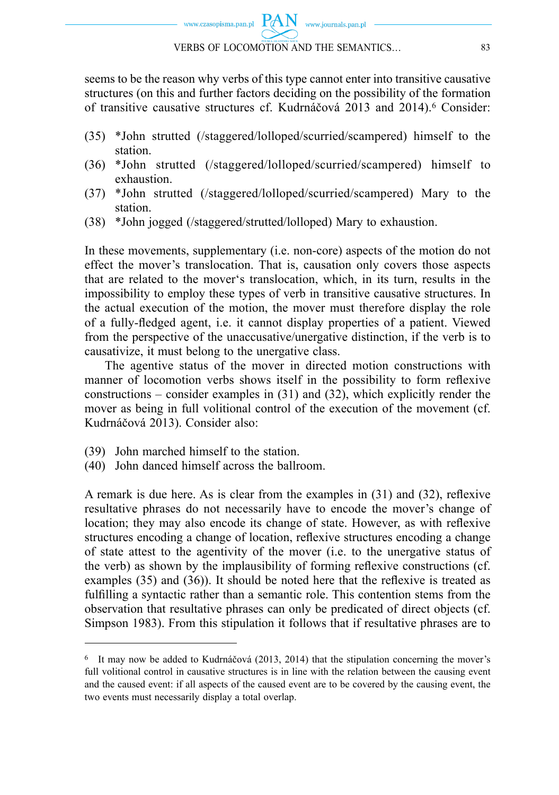

seems to be the reason why verbs of this type cannot enter into transitive causative structures (on this and further factors deciding on the possibility of the formation of transitive causative structures cf. Kudrnáčová 2013 and 2014).6 Consider:

- (35) \*John strutted (/staggered/lolloped/scurried/scampered) himself to the station.
- (36) \*John strutted (/staggered/lolloped/scurried/scampered) himself to exhaustion.
- (37) \*John strutted (/staggered/lolloped/scurried/scampered) Mary to the station.
- (38) \*John jogged (/staggered/strutted/lolloped) Mary to exhaustion.

In these movements, supplementary (i.e. non-core) aspects of the motion do not effect the mover's translocation. That is, causation only covers those aspects that are related to the mover's translocation, which, in its turn, results in the impossibility to employ these types of verb in transitive causative structures. In the actual execution of the motion, the mover must therefore display the role of a fully-fledged agent, i.e. it cannot display properties of a patient. Viewed from the perspective of the unaccusative/unergative distinction, if the verb is to causativize, it must belong to the unergative class.

The agentive status of the mover in directed motion constructions with manner of locomotion verbs shows itself in the possibility to form reflexive constructions – consider examples in (31) and (32), which explicitly render the mover as being in full volitional control of the execution of the movement (cf. Kudrnáčová 2013). Consider also:

- (39) John marched himself to the station.
- (40) John danced himself across the ballroom.

A remark is due here. As is clear from the examples in  $(31)$  and  $(32)$ , reflexive resultative phrases do not necessarily have to encode the mover's change of location; they may also encode its change of state. However, as with reflexive structures encoding a change of location, reflexive structures encoding a change of state attest to the agentivity of the mover (i.e. to the unergative status of the verb) as shown by the implausibility of forming reflexive constructions (cf. examples  $(35)$  and  $(36)$ ). It should be noted here that the reflexive is treated as fulfilling a syntactic rather than a semantic role. This contention stems from the observation that resultative phrases can only be predicated of direct objects (cf. Simpson 1983). From this stipulation it follows that if resultative phrases are to

<sup>6</sup> It may now be added to Kudrnáčová (2013, 2014) that the stipulation concerning the mover's full volitional control in causative structures is in line with the relation between the causing event and the caused event: if all aspects of the caused event are to be covered by the causing event, the two events must necessarily display a total overlap.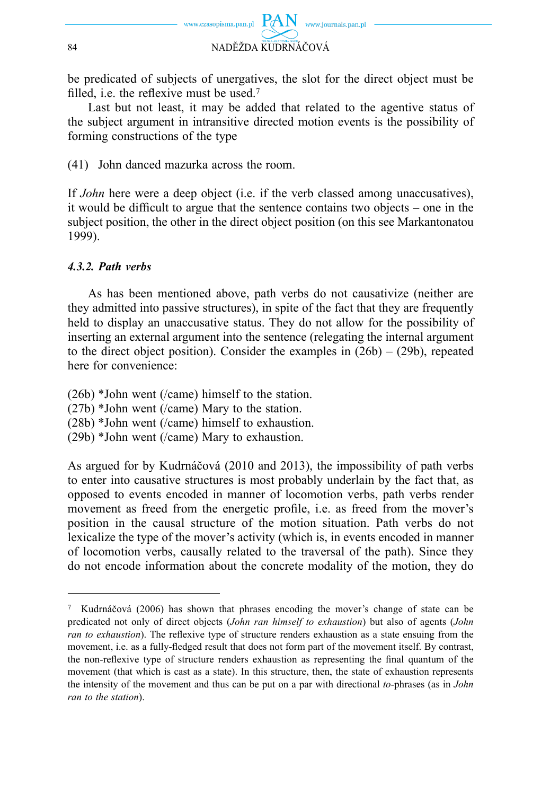

be predicated of subjects of unergatives, the slot for the direct object must be filled, i.e. the reflexive must be used.<sup>7</sup>

Last but not least, it may be added that related to the agentive status of the subject argument in intransitive directed motion events is the possibility of forming constructions of the type

(41) John danced mazurka across the room.

If *John* here were a deep object (i.e. if the verb classed among unaccusatives), it would be difficult to argue that the sentence contains two objects – one in the subject position, the other in the direct object position (on this see Markantonatou 1999).

### *4.3.2. Path verbs*

As has been mentioned above, path verbs do not causativize (neither are they admitted into passive structures), in spite of the fact that they are frequently held to display an unaccusative status. They do not allow for the possibility of inserting an external argument into the sentence (relegating the internal argument to the direct object position). Consider the examples in  $(26b) - (29b)$ , repeated here for convenience:

(26b) \*John went (/came) himself to the station.

(27b) \*John went (/came) Mary to the station.

(28b) \*John went (/came) himself to exhaustion.

(29b) \*John went (/came) Mary to exhaustion.

As argued for by Kudrnáčová (2010 and 2013), the impossibility of path verbs to enter into causative structures is most probably underlain by the fact that, as opposed to events encoded in manner of locomotion verbs, path verbs render movement as freed from the energetic profile, i.e. as freed from the mover's position in the causal structure of the motion situation. Path verbs do not lexicalize the type of the mover's activity (which is, in events encoded in manner of locomotion verbs, causally related to the traversal of the path). Since they do not encode information about the concrete modality of the motion, they do

<sup>7</sup> Kudrnáčová (2006) has shown that phrases encoding the mover's change of state can be predicated not only of direct objects (*John ran himself to exhaustion*) but also of agents (*John ran to exhaustion*). The reflexive type of structure renders exhaustion as a state ensuing from the movement, i.e. as a fully-fledged result that does not form part of the movement itself. By contrast, the non-reflexive type of structure renders exhaustion as representing the final quantum of the movement (that which is cast as a state). In this structure, then, the state of exhaustion represents the intensity of the movement and thus can be put on a par with directional *to-*phrases (as in *John ran to the station*).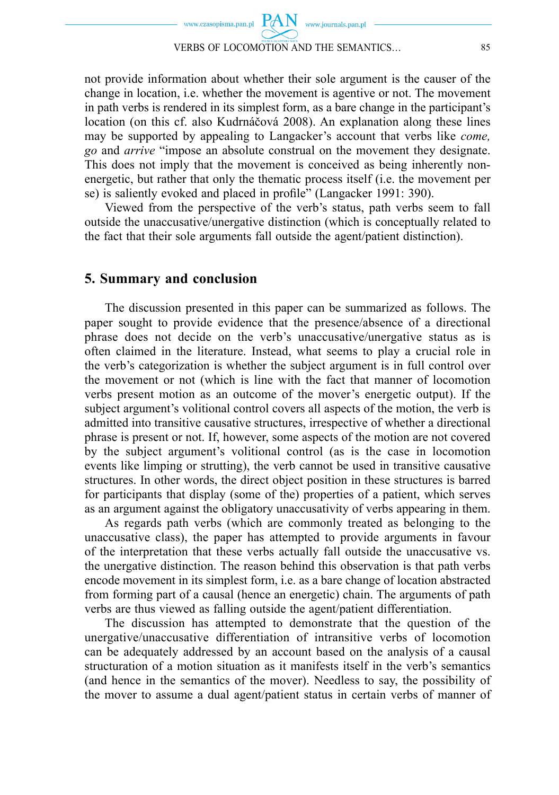

not provide information about whether their sole argument is the causer of the change in location, i.e. whether the movement is agentive or not. The movement in path verbs is rendered in its simplest form, as a bare change in the participant's location (on this cf. also Kudrnáčová 2008). An explanation along these lines may be supported by appealing to Langacker's account that verbs like *come, go* and *arrive* "impose an absolute construal on the movement they designate. This does not imply that the movement is conceived as being inherently nonenergetic, but rather that only the thematic process itself (i.e. the movement per se) is saliently evoked and placed in profile" (Langacker 1991: 390).

Viewed from the perspective of the verb's status, path verbs seem to fall outside the unaccusative/unergative distinction (which is conceptually related to the fact that their sole arguments fall outside the agent/patient distinction).

#### **5. Summary and conclusion**

The discussion presented in this paper can be summarized as follows. The paper sought to provide evidence that the presence/absence of a directional phrase does not decide on the verb's unaccusative/unergative status as is often claimed in the literature. Instead, what seems to play a crucial role in the verb's categorization is whether the subject argument is in full control over the movement or not (which is line with the fact that manner of locomotion verbs present motion as an outcome of the mover's energetic output). If the subject argument's volitional control covers all aspects of the motion, the verb is admitted into transitive causative structures, irrespective of whether a directional phrase is present or not. If, however, some aspects of the motion are not covered by the subject argument's volitional control (as is the case in locomotion events like limping or strutting), the verb cannot be used in transitive causative structures. In other words, the direct object position in these structures is barred for participants that display (some of the) properties of a patient, which serves as an argument against the obligatory unaccusativity of verbs appearing in them.

As regards path verbs (which are commonly treated as belonging to the unaccusative class), the paper has attempted to provide arguments in favour of the interpretation that these verbs actually fall outside the unaccusative vs. the unergative distinction. The reason behind this observation is that path verbs encode movement in its simplest form, i.e. as a bare change of location abstracted from forming part of a causal (hence an energetic) chain. The arguments of path verbs are thus viewed as falling outside the agent/patient differentiation.

The discussion has attempted to demonstrate that the question of the unergative/unaccusative differentiation of intransitive verbs of locomotion can be adequately addressed by an account based on the analysis of a causal structuration of a motion situation as it manifests itself in the verb's semantics (and hence in the semantics of the mover). Needless to say, the possibility of the mover to assume a dual agent/patient status in certain verbs of manner of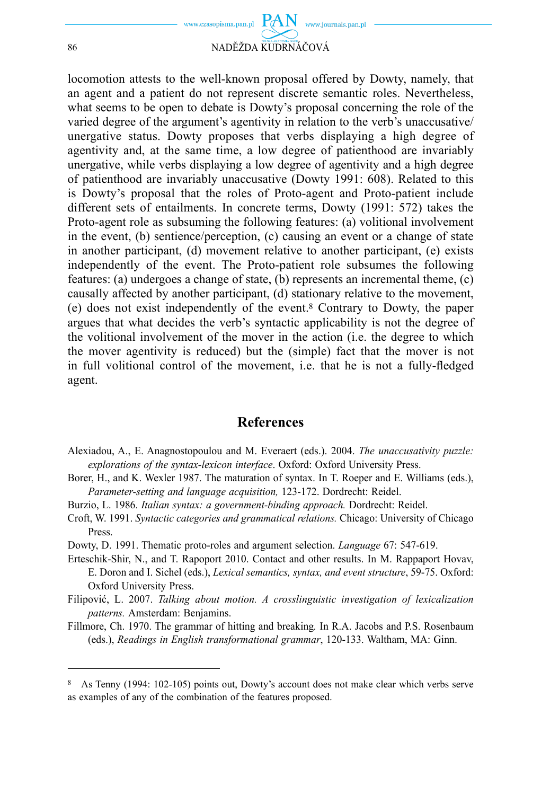

86 NADĚŽDA KUDRNÁČOVÁ

locomotion attests to the well-known proposal offered by Dowty, namely, that an agent and a patient do not represent discrete semantic roles. Nevertheless, what seems to be open to debate is Dowty's proposal concerning the role of the varied degree of the argument's agentivity in relation to the verb's unaccusative/ unergative status. Dowty proposes that verbs displaying a high degree of agentivity and, at the same time, a low degree of patienthood are invariably unergative, while verbs displaying a low degree of agentivity and a high degree of patienthood are invariably unaccusative (Dowty 1991: 608). Related to this is Dowty's proposal that the roles of Proto-agent and Proto-patient include different sets of entailments. In concrete terms, Dowty (1991: 572) takes the Proto-agent role as subsuming the following features: (a) volitional involvement in the event, (b) sentience/perception, (c) causing an event or a change of state in another participant, (d) movement relative to another participant, (e) exists independently of the event. The Proto-patient role subsumes the following features: (a) undergoes a change of state, (b) represents an incremental theme, (c) causally affected by another participant, (d) stationary relative to the movement, (e) does not exist independently of the event.8 Contrary to Dowty, the paper argues that what decides the verb's syntactic applicability is not the degree of the volitional involvement of the mover in the action (i.e. the degree to which the mover agentivity is reduced) but the (simple) fact that the mover is not in full volitional control of the movement, i.e. that he is not a fully-fledged agent.

#### **References**

- Alexiadou, A., E. Anagnostopoulou and M. Everaert (eds.). 2004. *The unaccusativity puzzle: explorations of the syntax-lexicon interface*. Oxford: Oxford University Press.
- Borer, H., and K. Wexler 1987. The maturation of syntax. In T. Roeper and E. Williams (eds.), *Parameter-setting and language acquisition,* 123-172. Dordrecht: Reidel.
- Burzio, L. 1986. *Italian syntax: a government-binding approach.* Dordrecht: Reidel.
- Croft, W. 1991. *Syntactic categories and grammatical relations.* Chicago: University of Chicago Press.
- Dowty, D. 1991. Thematic proto-roles and argument selection. *Language* 67: 547-619.
- Erteschik-Shir, N., and T. Rapoport 2010. Contact and other results. In M. Rappaport Hovav, E. Doron and I. Sichel (eds.), *Lexical semantics, syntax, and event structure*, 59-75. Oxford: Oxford University Press.
- Filipović, L. 2007. *Talking about motion. A crosslinguistic investigation of lexicalization patterns.* Amsterdam: Benjamins.
- Fillmore, Ch. 1970. The grammar of hitting and breaking*.* In R.A. Jacobs and P.S. Rosenbaum (eds.), *Readings in English transformational grammar*, 120-133. Waltham, MA: Ginn.

<sup>8</sup> As Tenny (1994: 102-105) points out, Dowty's account does not make clear which verbs serve as examples of any of the combination of the features proposed.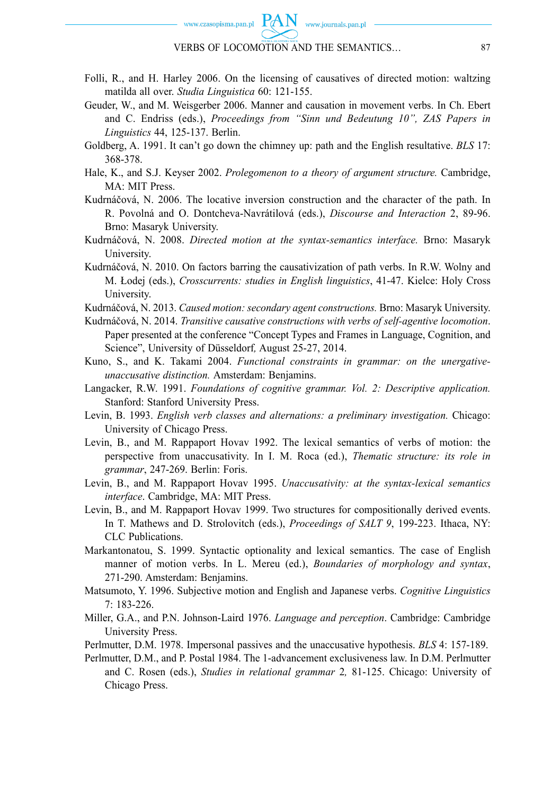

#### VERBS OF LOCOMOTION AND THE SEMANTICS… 87

- Folli, R., and H. Harley 2006. On the licensing of causatives of directed motion: waltzing matilda all over. *Studia Linguistica* 60: 121-155.
- Geuder, W., and M. Weisgerber 2006. Manner and causation in movement verbs. In Ch. Ebert and C. Endriss (eds.), *Proceedings from "Sinn und Bedeutung 10", ZAS Papers in Linguistics* 44, 125-137. Berlin.
- Goldberg, A. 1991. It can't go down the chimney up: path and the English resultative. *BLS* 17: 368-378.
- Hale, K., and S.J. Keyser 2002. *Prolegomenon to a theory of argument structure.* Cambridge, MA: MIT Press.
- Kudrnáčová, N. 2006. The locative inversion construction and the character of the path. In R. Povolná and O. Dontcheva-Navrátilová (eds.), *Discourse and Interaction* 2, 89-96. Brno: Masaryk University.
- Kudrnáčová, N. 2008. *Directed motion at the syntax-semantics interface.* Brno: Masaryk University.
- Kudrnáčová, N. 2010. On factors barring the causativization of path verbs. In R.W. Wolny and M. Łodej (eds.), *Crosscurrents: studies in English linguistics*, 41-47. Kielce: Holy Cross University.
- Kudrnáčová, N. 2013. *Caused motion: secondary agent constructions.* Brno: Masaryk University.
- Kudrnáčová, N. 2014. *Transitive causative constructions with verbs of self-agentive locomotion*. Paper presented at the conference "Concept Types and Frames in Language, Cognition, and Science", University of Düsseldorf*,* August 25-27, 2014.
- Kuno, S., and K. Takami 2004. *Functional constraints in grammar: on the unergativeunaccusative distinction.* Amsterdam: Benjamins.
- Langacker, R.W. 1991. *Foundations of cognitive grammar. Vol. 2: Descriptive application.*  Stanford: Stanford University Press.
- Levin, B. 1993. *English verb classes and alternations: a preliminary investigation.* Chicago: University of Chicago Press.
- Levin, B., and M. Rappaport Hovav 1992. The lexical semantics of verbs of motion: the perspective from unaccusativity. In I. M. Roca (ed.), *Thematic structure: its role in grammar*, 247-269. Berlin: Foris.
- Levin, B., and M. Rappaport Hovav 1995. *Unaccusativity: at the syntax-lexical semantics interface*. Cambridge, MA: MIT Press.
- Levin, B., and M. Rappaport Hovav 1999. Two structures for compositionally derived events. In T. Mathews and D. Strolovitch (eds.), *Proceedings of SALT 9*, 199-223. Ithaca, NY: CLC Publications.
- Markantonatou, S. 1999. Syntactic optionality and lexical semantics. The case of English manner of motion verbs. In L. Mereu (ed.), *Boundaries of morphology and syntax*, 271-290. Amsterdam: Benjamins.
- Matsumoto, Y. 1996. Subjective motion and English and Japanese verbs. *Cognitive Linguistics*  7: 183-226.
- Miller, G.A., and P.N. Johnson-Laird 1976. *Language and perception*. Cambridge: Cambridge University Press.
- Perlmutter, D.M. 1978. Impersonal passives and the unaccusative hypothesis. *BLS* 4: 157-189.
- Perlmutter, D.M., and P. Postal 1984. The 1-advancement exclusiveness law. In D.M. Perlmutter and C. Rosen (eds.), *Studies in relational grammar* 2*,* 81-125. Chicago: University of Chicago Press.